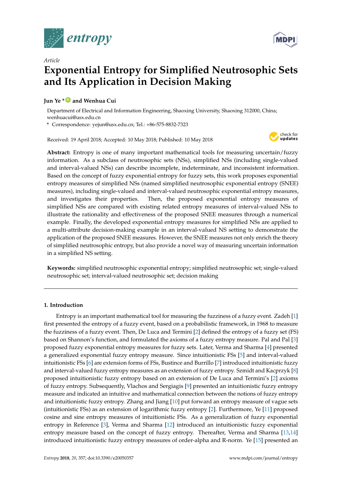

*Article*



# **Exponential Entropy for Simplified Neutrosophic Sets and Its Application in Decision Making**

## **Jun Ye \* [ID](https://orcid.org/0000-0003-2841-6529) and Wenhua Cui**

Department of Electrical and Information Engineering, Shaoxing University, Shaoxing 312000, China; wenhuacui@usx.edu.cn

**\*** Correspondence: yejun@usx.edu.cn; Tel.: +86-575-8832-7323

Received: 19 April 2018; Accepted: 10 May 2018; Published: 10 May 2018



**Abstract:** Entropy is one of many important mathematical tools for measuring uncertain/fuzzy information. As a subclass of neutrosophic sets (NSs), simplified NSs (including single-valued and interval-valued NSs) can describe incomplete, indeterminate, and inconsistent information. Based on the concept of fuzzy exponential entropy for fuzzy sets, this work proposes exponential entropy measures of simplified NSs (named simplified neutrosophic exponential entropy (SNEE) measures), including single-valued and interval-valued neutrosophic exponential entropy measures, and investigates their properties. Then, the proposed exponential entropy measures of simplified NSs are compared with existing related entropy measures of interval-valued NSs to illustrate the rationality and effectiveness of the proposed SNEE measures through a numerical example. Finally, the developed exponential entropy measures for simplified NSs are applied to a multi-attribute decision-making example in an interval-valued NS setting to demonstrate the application of the proposed SNEE measures. However, the SNEE measures not only enrich the theory of simplified neutrosophic entropy, but also provide a novel way of measuring uncertain information in a simplified NS setting.

**Keywords:** simplified neutrosophic exponential entropy; simplified neutrosophic set; single-valued neutrosophic set; interval-valued neutrosophic set; decision making

## **1. Introduction**

Entropy is an important mathematical tool for measuring the fuzziness of a fuzzy event. Zadeh [\[1\]](#page-8-0) first presented the entropy of a fuzzy event, based on a probabilistic framework, in 1968 to measure the fuzziness of a fuzzy event. Then, De Luca and Termini [\[2\]](#page-8-1) defined the entropy of a fuzzy set (FS) based on Shannon's function, and formulated the axioms of a fuzzy entropy measure. Pal and Pal [\[3\]](#page-8-2) proposed fuzzy exponential entropy measures for fuzzy sets. Later, Verma and Sharma [\[4\]](#page-8-3) presented a generalized exponential fuzzy entropy measure. Since intuitionistic FSs [\[5\]](#page-8-4) and interval-valued intuitionistic FSs [\[6\]](#page-8-5) are extension forms of FSs, Bustince and Burrillo [\[7\]](#page-8-6) introduced intuitionistic fuzzy and interval-valued fuzzy entropy measures as an extension of fuzzy entropy. Szmidt and Kacprzyk [\[8\]](#page-8-7) proposed intuitionistic fuzzy entropy based on an extension of De Luca and Termini's [\[2\]](#page-8-1) axioms of fuzzy entropy. Subsequently, Vlachos and Sergiagis [\[9\]](#page-8-8) presented an intuitionistic fuzzy entropy measure and indicated an intuitive and mathematical connection between the notions of fuzzy entropy and intuitionistic fuzzy entropy. Zhang and Jiang [\[10\]](#page-8-9) put forward an entropy measure of vague sets (intuitionistic FSs) as an extension of logarithmic fuzzy entropy [\[2\]](#page-8-1). Furthermore, Ye [\[11\]](#page-8-10) proposed cosine and sine entropy measures of intuitionistic FSs. As a generalization of fuzzy exponential entropy in Reference [\[3\]](#page-8-2), Verma and Sharma [\[12\]](#page-8-11) introduced an intuitionistic fuzzy exponential entropy measure based on the concept of fuzzy entropy. Thereafter, Verma and Sharma [\[13](#page-8-12)[,14\]](#page-8-13) introduced intuitionistic fuzzy entropy measures of order-alpha and R-norm. Ye [\[15\]](#page-8-14) presented an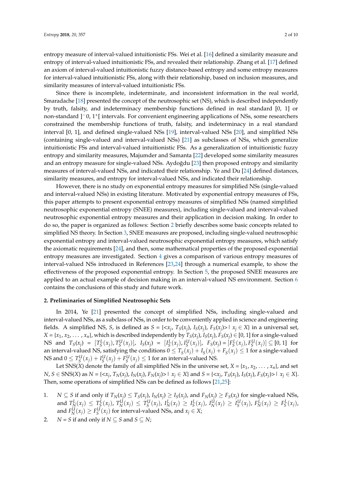entropy measure of interval-valued intuitionistic FSs. Wei et al. [\[16\]](#page-8-15) defined a similarity measure and entropy of interval-valued intuitionistic FSs, and revealed their relationship. Zhang et al. [\[17\]](#page-8-16) defined an axiom of interval-valued intuitionistic fuzzy distance-based entropy and some entropy measures for interval-valued intuitionistic FSs, along with their relationship, based on inclusion measures, and similarity measures of interval-valued intuitionistic FSs.

Since there is incomplete, indeterminate, and inconsistent information in the real world, Smaradache [\[18\]](#page-8-17) presented the concept of the neutrosophic set (NS), which is described independently by truth, falsity, and indeterminacy membership functions defined in real standard [0, 1] or non-standard ]−0, 1<sup>+</sup> [ intervals. For convenient engineering applications of NSs, some researchers constrained the membership functions of truth, falsity, and indeterminacy in a real standard interval [0, 1], and defined single-valued NSs [\[19\]](#page-9-0), interval-valued NSs [\[20\]](#page-9-1), and simplified NSs (containing single-valued and interval-valued NSs) [\[21\]](#page-9-2) as subclasses of NSs, which generalize intuitionistic FSs and interval-valued intuitionistic FSs. As a generalization of intuitionistic fuzzy entropy and similarity measures, Majumder and Samanta [\[22\]](#page-9-3) developed some similarity measures and an entropy measure for single-valued NSs. Aydoğdu [\[23\]](#page-9-4) then proposed entropy and similarity measures of interval-valued NSs, and indicated their relationship. Ye and Du [\[24\]](#page-9-5) defined distances, similarity measures, and entropy for interval-valued NSs, and indicated their relationship.

However, there is no study on exponential entropy measures for simplified NSs (single-valued and interval-valued NSs) in existing literature. Motivated by exponential entropy measures of FSs, this paper attempts to present exponential entropy measures of simplified NSs (named simplified neutrosophic exponential entropy (SNEE) measures), including single-valued and interval-valued neutrosophic exponential entropy measures and their application in decision making. In order to do so, the paper is organized as follows: Section [2](#page-1-0) briefly describes some basic concepts related to simplified NS theory. In Section [3,](#page-2-0) SNEE measures are proposed, including single-valued neutrosophic exponential entropy and interval-valued neutrosophic exponential entropy measures, which satisfy the axiomatic requirements [\[24\]](#page-9-5), and then, some mathematical properties of the proposed exponential entropy measures are investigated. Section [4](#page-5-0) gives a comparison of various entropy measures of interval-valued NSs introduced in References [\[23,](#page-9-4)[24\]](#page-9-5) through a numerical example, to show the effectiveness of the proposed exponential entropy. In Section [5,](#page-6-0) the proposed SNEE measures are applied to an actual example of decision making in an interval-valued NS environment. Section [6](#page-8-18) contains the conclusions of this study and future work.

#### <span id="page-1-0"></span>**2. Preliminaries of Simplified Neutrosophic Sets**

In 2014, Ye [\[21\]](#page-9-2) presented the concept of simplified NSs, including single-valued and interval-valued NSs, as a subclass of NSs, in order to be conveniently applied in science and engineering fields. A simplified NS, S, is defined as  $S = \{ \langle x_j, T_S(x_j), I_S(x_j), F_S(x_j) \rangle \mid x_j \in X \}$  in a universal set,  $X = \{x_1, x_2, \dots, x_n\}$ , which is described independently by  $T_S(x_j)$ ,  $I_S(x_j)$ ,  $F_S(x_j) \in [0, 1]$  for a single-valued NS and  $T_S(x_j) = [T_S^L(x_j), T_S^U(x_j)], I_S(x_j) = [I_S^L(x_j), I_S^U(x_j)], F_S(x_j) = [F_S^L(x_j), F_S^U(x_j)] \subseteq [0, 1]$  for an interval-valued NS, satisfying the conditions  $0 \le T_S(x_j) + I_S(x_j) + F_S(x_j) \le 1$  for a single-valued NS and  $0 \leq T_S^U(x_j) + I_S^U(x_j) + F_S^U(x_j) \leq 1$  for an interval-valued NS.

Let SNS(*X*) denote the family of all simplified NSs in the universe set,  $X = \{x_1, x_2, \ldots, x_n\}$ , and set  $N, S \in SNS(X)$  as  $N = \{ \langle x_j, T_N(x_j), I_N(x_j), F_N(x_j) \rangle \mid x_j \in X \}$  and  $S = \{ \langle x_j, T_S(x_j), I_S(x_j), F_S(x_j) \rangle \mid x_j \in X \}$ . Then, some operations of simplified NSs can be defined as follows [\[21,](#page-9-2)[25\]](#page-9-6):

- 1.  $N \subseteq S$  if and only if  $T_N(x_j) \le T_S(x_j)$ ,  $I_N(x_j) \ge I_S(x_j)$ , and  $F_N(x_j) \ge F_S(x_j)$  for single-valued NSs, and  $T_N^L(x_j) \leq T_S^L(x_j)$ ,  $T_N^U(x_j) \leq T_S^U(x_j)$ ,  $I_N^L(x_j) \geq I_S^L(x_j)$ ,  $I_N^U(x_j) \geq I_S^U(x_j)$ ,  $F_N^L(x_j) \geq F_S^L(x_j)$ , and  $F_N^U(x_j) \geq F_S^U(x_j)$  for interval-valued NSs, and  $x_j \in X$ ;
- 2. *N* = *S* if and only if  $N \subset S$  and  $S \subset N$ ;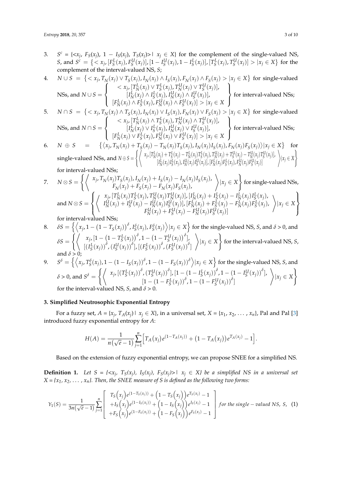3. *S*  $c = \{ \langle x_j, F_S(x_j), 1 - I_S(x_j), T_S(x_j) \rangle \mid x_j \in X \}$  for the complement of the single-valued NS, *S*, and  $S^c = \{ \langle x_j, [F_S^L(x_j), F_S^U(x_j)], [1 - I_S^U(x_j), 1 - I_S^L(x_j)], [T_S^L(x_j), T_S^U(x_j)] > |x_j \in X \}$  for the complement of the interval-valued NS, *S*;

4. 
$$
N \cup S = \left\{ \langle x_j, T_N(x_j) \lor T_S(x_j), I_N(x_j) \land I_S(x_j), F_N(x_j) \land F_S(x_j) \rangle | x_j \in X \right\} \text{ for single-valued}
$$
  
\nNSS, and 
$$
N \cup S = \left\{ \begin{array}{c} \langle x_j, [T_N^L(x_j) \lor T_S^L(x_j), T_N^U(x_j) \lor T_S^L(x_j)], \\ [I_N^L(x_j) \land I_S^L(x_j), I_N^U(x_j) \land I_S^U(x_j)] \rangle \\ [F_N^L(x_j) \land F_S^L(x_j), F_N^U(x_j) \land F_S^U(x_j)] \rangle | x_j \in X \end{array} \right\} \text{ for interval-valued NSs};
$$

5. 
$$
N \cap S = \left\{ \langle x_j, T_N(x_j) \land T_S(x_j), I_N(x_j) \lor I_S(x_j), F_N(x_j) \lor F_S(x_j) \rangle | x_j \in X \right\} \text{ for single-valued}
$$
  
\nNSS, and 
$$
N \cap S = \left\{ \begin{array}{c} \langle x_j, [T_N^L(x_j) \land T_S^L(x_j), T_N^U(x_j) \land T_S^U(x_j)] \rangle \\ [I_N^L(x_j) \lor I_S^L(x_j), I_N^U(x_j) \lor I_S^U(x_j)] \rangle \end{array} \right\}
$$
 for interval-valued NSs;

6. 
$$
N \oplus S = \left\{ \langle x_j, T_N(x_j) + T_S(x_j) - T_N(x_j) T_S(x_j), I_N(x_j) \rangle | x_j \in X \right\}
$$
 for interval values 185,   
6.  $N \oplus S = \left\{ \langle x_j, T_N(x_j) + T_S(x_j) - T_N(x_j) T_S(x_j), I_N(x_j) I_S(x_j), F_N(x_j) F_S(x_j) \rangle | x_j \in X \right\}$  for

single-valued NSs, and *N* ⊕ *S* = (\* *<sup>x</sup><sup>j</sup>* , [*T L N* (*xj*) + *<sup>T</sup> L S* (*xj*) − *T L N* (*xj*)*T L S* (*xj*), *T U N* (*xj*) + *<sup>T</sup> U S* (*xj*) − *T U N* (*xj*)*T U S* (*xj*)], [*I L N* (*xj*)*I L S* (*xj*), *I U N* (*xj*)*I U S* (*xj*)], [*F L N* (*xj*)*F L S* (*xj*), *F U N* (*xj*)*F U S* (*xj*)] <sup>+</sup> |*x<sup>j</sup>* ∈ *X* ) for interval-valued NSs; + )

7. 
$$
N \otimes S = \left\{ \left\langle \begin{array}{c} x_j, T_N(x_j)T_S(x_j), I_N(x_j) + I_S(x_j) - I_N(x_j)I_S(x_j), \\ F_N(x_j) + F_S(x_j) - F_N(x_j)F_S(x_j), \end{array} \right\rangle | x_j \in X \right\} \text{ for single-valued NSs,}
$$
  
and 
$$
N \otimes S = \left\{ \left\langle \begin{array}{c} x_j, [T_N^L(x_j)T_S^L(x_j), T_N^U(x_j)T_N^U(x_j)] , [I_N^L(x_j) + I_S^L(x_j) - I_N^L(x_j)I_S^L(x_j), \\ I_N^U(x_j) + I_S^U(x_j) - I_N^U(x_j)I_S^U(x_j)] , [F_N^L(x_j) + F_S^L(x_j) - F_N^L(x_j)F_S^L(x_j), \end{array} \right\rangle | x_j \in X \right\}
$$

for interval-valued NSs;

8. 
$$
\delta S = \left\{ \left\langle x_j, 1 - \left(1 - T_S(x_j)\right)^{\delta}, I_S^{\delta}(x_j), F_S^{\delta}(x_j) \right\rangle | x_j \in X \right\} \text{ for the single-valued NS, } S \text{, and } \delta > 0 \text{, and}
$$
\n
$$
\delta S = \left\{ \left\langle \begin{array}{c} x_j, \left[1 - \left(1 - T_S^L(x_j)\right)^{\delta}, 1 - \left(1 - T_S^U(x_j)\right)^{\delta} \right], \\ \left[\left(I_S^L(x_j)\right)^{\delta}, \left(I_S^U(x_j)\right)^{\delta}, \left[\left(F_S^L(x_j)\right)^{\delta}, \left(F_S^U(x_j)\right)^{\delta}\right] \end{array} \right\rangle | x_j \in X \right\} \text{ for the interval-valued NS, } S \text{, and } \delta > 0;
$$
\nand  $\delta > 0$ ;

9. 
$$
S^{\delta} = \left\{ \left\langle x_j, T_S^{\delta}(x_j), 1 - (1 - I_S(x_j))^{\delta}, 1 - (1 - F_S(x_j))^{\delta} \right\rangle | x_j \in X \right\} \text{ for the single-valued NS, S, and}
$$

$$
\delta > 0, \text{ and } S^{\delta} = \left\{ \left\langle x_j, \left[ (T_S^L(x_j))^{\delta}, (T_S^U(x_j))^{\delta} \right], \left[ 1 - (1 - I_S^L(x_j))^{\delta}, 1 - (1 - I_S^U(x_j))^{\delta} \right], \right\rangle | x_j \in X \right\}
$$
  
for the interval-valued NS, S, and  $\delta > 0$ .

## <span id="page-2-0"></span>**3. Simplified Neutrosophic Exponential Entropy**

For a fuzzy set,  $A = \{x_j, T_A(x_j) | x_j \in X\}$ , in a universal set,  $X = \{x_1, x_2, \dots, x_n\}$ , Pal and Pal [\[3\]](#page-8-2) introduced fuzzy exponential entropy for *A*:

$$
H(A) = \frac{1}{n(\sqrt{e}-1)} \sum_{j=1}^{n} \Big[ T_A(x_j) e^{(1-T_A(x_j))} + (1-T_A(x_j)) e^{T_A(x_j)} - 1 \Big].
$$

Based on the extension of fuzzy exponential entropy, we can propose SNEE for a simplified NS.

**Definition 1.** Let  $S = \{ \langle x_j, T_S(x_j), I_S(x_j), F_S(x_j) \rangle \mid x_j \in X \}$  be a simplified NS in a universal set  $X = \{x_1, x_2, \ldots, x_n\}$ . Then, the SNEE measure of S is defined as the following two forms:

$$
Y_1(S) = \frac{1}{3n(\sqrt{e}-1)} \sum_{j=1}^n \begin{bmatrix} T_S(x_j)e^{(1-T_S(x_j))} + (1-T_S(x_j))e^{T_S(x_j)} - 1\\ +I_S(x_j)e^{(1-I_S(x_j))} + (1-I_S(x_j))e^{I_S(x_j)} - 1\\ +F_S(x_j)e^{(1-F_S(x_j))} + (1-F_S(x_j))e^{F_S(x_j)} - 1 \end{bmatrix}
$$
 for the single-valued NS, S, (1)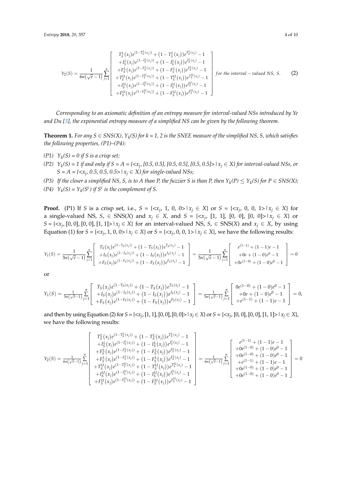$$
Y_2(S) = \frac{1}{6n(\sqrt{e}-1)} \sum_{j=1}^n \begin{bmatrix} T_S^L(x_j)e^{(1-T_S^L(x_j))} + (1-T_S^L(x_j))e^{T_S^L(x_j)} - 1 \\ +I_S^L(x_j)e^{(1-I_S^L(x_j))} + (1-I_S^L(x_j))e^{I_S^L(x_j)} - 1 \\ +F_S^L(x_j)e^{(1-T_S^L(x_j))} + (1-F_S^L(x_j))e^{F_S^L(x_j)} - 1 \\ +T_S^L(x_j)e^{(1-T_S^L(x_j))} + (1-T_S^L(x_j))e^{T_S^L(x_j)} - 1 \\ +I_S^L(x_j)e^{(1-I_S^L(x_j))} + (1-I_S^L(x_j))e^{I_S^L(x_j)} - 1 \\ +F_S^L(x_j)e^{(1-I_S^L(x_j))} + (1-F_S^L(x_j))e^{F_S^L(x_j)} - 1 \end{bmatrix} \text{ for the interval } - \text{ valued NS, S.}
$$
 (2)

*Corresponding to an axiomatic definition of an entropy measure for interval-valued NSs introduced by Ye and Du [\[3\]](#page-8-2), the exponential entropy measure of a simplified NS can be given by the following theorem.*

**Theorem 1.** *For any S*  $\in$  *SNS(X), Y<sub>k</sub>(S) for k* = 1, 2 *is the SNEE measure of the simplified NS, S, which satisfies the following properties, (P1)–(P4):*

- $(P1)$   $Y_k(S) = 0$  if S is a crisp set;
- *(P2) Y<sup>k</sup> (S) = 1 if and only if S = A = {<x<sup>j</sup> , [0.5, 0.5], [0.5, 0.5], [0.5, 0.5]>|x<sup>j</sup>* ∈ *X} for interval-valued NSs, or*  $S = A = \{ \langle x_j, 0.5, 0.5, 0.5 \rangle \mid x_j \in X \}$  for single-valued NSs;
- *(P3)* If the closer a simplified NS, S, is to A than P, the fuzzier S is than P, then  $Y_k(P) \le Y_k(S)$  for  $P \in SNS(X)$ ;
- *(P4)*  $Y_k(S) = Y_k(S^c)$  *if*  $S^c$  *is the complement of S.*

**Proof.** (P1) If *S* is a crisp set, i.e.,  $S = \{ \langle x_j, 1, 0, 0 \rangle | x_j \in X \}$  or  $S = \{ \langle x_j, 0, 0, 1 \rangle | x_j \in X \}$  for a single-valued NS, *S*, ∈ SNS(*X*) and  $x_j$  ∈ *X*, and *S* = {<*x*<sub>*j*</sub>, [1, 1], [0, 0], [0, 0]> | *x*<sub>*j*</sub> ∈ *X*} or *S* = {<*x*<sub>*j*</sub>, [0, 0], [0, 0], [1, 1]> | *x*<sub>*j*</sub> ∈ *X*} for an interval-valued NS, *S*, ∈ SNS(*X*) and *x*<sub>*j*</sub> ∈ *X*, by using Equation (1) for  $S = \{ \langle x_j, 1, 0, 0 \rangle \mid x_j \in X \}$  or  $S = \{ \langle x_j, 0, 0, 1 \rangle \mid x_j \in X \}$ , we have the following results:

$$
Y_1(S) = \frac{1}{3n(\sqrt{e}-1)} \sum_{j=1}^n \begin{bmatrix} T_S(x_j)e^{(1-T_S(x_j))} + (1-T_S(x_j))e^{T_S(x_j)} - 1 \ H_S(x_j)e^{(1-I_S(x_j))} + (1-I_S(x_j))e^{I_S(x_j)} - 1 \ H_S(x_j)e^{(1-I_S(x_j))} + (1-I_S(x_j))e^{I_S(x_j)} - 1 \ H_S(x_j)e^{(1-I_S(x_j))} + (1-I_S(x_j))e^{I_S(x_j)} - 1 \end{bmatrix} = \frac{1}{3n(\sqrt{e}-1)} \sum_{j=1}^n \begin{bmatrix} e^{(1-1)} + (1-1)e - 1 \ H_O + (1-0)e^0 - 1 \ H_O - (1-0)e^0 - 1 \ H_O - (1-0)e^0 - 1 \end{bmatrix} = 0
$$

or

$$
Y_1(S) = \frac{1}{3n(\sqrt{e}-1)} \sum_{j=1}^n \begin{bmatrix} T_S(x_j)e^{(1-T_S(x_j))} + (1-T_S(x_j))e^{T_S(x_j)} - 1 \ H_S(x_j)e^{(1-I_S(x_j))} + (1-I_S(x_j))e^{I_S(x_j)} - 1 \ H_S(x_j)e^{(1-I_S(x_j))} + (1-I_S(x_j))e^{I_S(x_j)} - 1 \ H_S(x_j)e^{(1-I_S(x_j))} + (1-I_S(x_j))e^{I_S(x_j)} - 1 \end{bmatrix} = \frac{1}{3n(\sqrt{e}-1)} \sum_{j=1}^n \begin{bmatrix} 0e^{(1-0)} + (1-0)e^0 - 1 \ H_e(-1) + (1-0)e^0 - 1 \ H_e(-1) + (1-1)e^0 - 1 \ H_e(-1) + (1-1)e^0 - 1 \end{bmatrix} = 0,
$$

and then by using Equation (2) for  $S = \{ \langle x_j, [1, 1], [0, 0], [0, 0] \rangle \mid x_j \in X \}$  or  $S = \{ \langle x_j, [0, 0], [0, 0], [1, 1] \rangle \mid x_j \in X \}$ , we have the following results:

$$
Y_2(S) = \frac{1}{6n(\sqrt{e}-1)} \sum_{j=1}^n \begin{bmatrix} T_S^L(x_j)e^{(1-T_S^L(x_j))} + (1-T_S^L(x_j))e^{T_S^L(x_j)} - 1 \\ +T_S^L(x_j)e^{(1-T_S^L(x_j))} + (1-T_S^L(x_j))e^{T_S^L(x_j)} - 1 \\ +F_S^L(x_j)e^{(1-T_S^L(x_j))} + (1-T_S^L(x_j))e^{T_S^L(x_j)} - 1 \\ +T_S^L(x_j)e^{(1-T_S^L(x_j))} + (1-T_S^L(x_j))e^{T_S^L(x_j)} - 1 \\ +T_S^L(x_j)e^{(1-T_S^L(x_j))} + (1-T_S^L(x_j))e^{T_S^L(x_j)} - 1 \\ +T_S^L(x_j)e^{(1-T_S^L(x_j))} + (1-T_S^L(x_j))e^{T_S^L(x_j)} - 1 \\ +F_S^L(x_j)e^{(1-T_S^L(x_j))} + (1-T_S^L(x_j))e^{T_S^L(x_j)} - 1 \\ +F_S^L(x_j)e^{(1-T_S^L(x_j))} + (1-T_S^L(x_j))e^{T_S^L(x_j)} - 1 \\ +0e^{(1-0)} + (1-0)e^0 - 1 \\ +0e^{(1-0)} + (1-0)e^0 - 1 \end{bmatrix} = 0
$$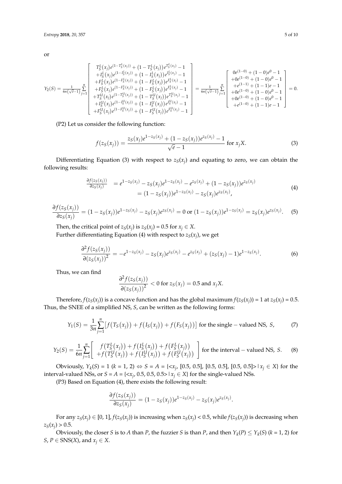or

$$
Y_2(S) = \frac{1}{6n(\sqrt{e}-1)} \sum_{j=1}^n \begin{bmatrix} T_S^L(x_j)e^{(1-T_S^L(x_j))} + (1-T_S^L(x_j))e^{T_S^L(x_j)} - 1 \\ +I_S^L(x_j)e^{(1-T_S^L(x_j))} + (1-I_S^L(x_j))e^{T_S^L(x_j)} - 1 \\ +F_S^L(x_j)e^{(1-T_S^L(x_j))} + (1-F_S^L(x_j))e^{T_S^L(x_j)} - 1 \\ +F_S^L(x_j)e^{(1-T_S^L(x_j))} + (1-T_S^L(x_j))e^{T_S^L(x_j)} - 1 \\ +T_S^L(x_j)e^{(1-T_S^L(x_j))} + (1-T_S^L(x_j))e^{T_S^L(x_j)} - 1 \\ +I_S^L(x_j)e^{(1-T_S^L(x_j))} + (1-I_S^L(x_j))e^{T_S^L(x_j)} - 1 \\ +I_S^L(x_j)e^{(1-T_S^L(x_j))} + (1-I_S^L(x_j))e^{T_S^L(x_j)} - 1 \\ +e^{(1-0)} + (1-0)e^0 - 1 \\ +e^{(1-0)} + (1-0)e^0 - 1 \\ +e^{(1-0)} + (1-1)e - 1 \end{bmatrix} = 0.
$$

(P2) Let us consider the following function:

$$
f(z_S(x_j)) = \frac{z_S(x_j)e^{1-z_S(x_j)} + (1-z_S(x_j))e^{z_S(x_j)} - 1}{\sqrt{e} - 1}
$$
 for  $x_j X$ . (3)

Differentiating Equation (3) with respect to  $z_S(x_j)$  and equating to zero, we can obtain the following results:

$$
\frac{\partial f(z_S(x_j))}{\partial z_S(x_j)} = e^{1 - z_S(x_j)} - z_S(x_j)e^{1 - z_S(x_j)} - e^{z_S(x_j)} + (1 - z_S(x_j))e^{z_S(x_j)} \n= (1 - z_S(x_j))e^{1 - z_S(x_j)} - z_S(x_j)e^{z_S(x_j)},
$$
\n(4)

$$
\frac{\partial f(z_S(x_j))}{\partial z_S(x_j)} = (1 - z_S(x_j))e^{1 - z_S(x_j)} - z_S(x_j)e^{z_S(x_j)} = 0 \text{ or } (1 - z_S(x_j))e^{1 - z_S(x_j)} = z_S(x_j)e^{z_S(x_j)}.
$$
 (5)

Then, the critical point of  $z_S(x_j)$  is  $z_S(x_j) = 0.5$  for  $x_j \in X$ .

Further differentiating Equation (4) with respect to  $z_S(x_j)$ , we get

$$
\frac{\partial^2 f(z_S(x_j))}{\partial (z_S(x_j))^2} = -e^{1-z_S(x_j)} - z_S(x_j)e^{z_S(x_j)} - e^{z_S(x_j)} + (z_S(x_j) - 1)e^{1-z_S(x_j)}.
$$
(6)

Thus, we can find

$$
\frac{\partial^2 f(z_S(x_j))}{\partial (z_S(x_j))^2} < 0 \text{ for } z_S(x_j) = 0.5 \text{ and } x_j X.
$$

Therefore,  $f(z_S(x_j))$  is a concave function and has the global maximum  $f(z_S(x_j)) = 1$  at  $z_S(x_j) = 0.5$ . Thus, the SNEE of a simplified NS, *S*, can be written as the following forms:

$$
Y_1(S) = \frac{1}{3n} \sum_{j=1}^{n} \left[ f(T_S(x_j)) + f(I_S(x_j)) + f(F_S(x_j)) \right] \text{ for the single } - \text{ valued NS, } S,
$$
 (7)

$$
Y_2(S) = \frac{1}{6n} \sum_{j=1}^n \left[ f(T_S^L(x_j)) + f(I_S^L(x_j)) + f(F_S^L(x_j)) \over + f(T_S^U(x_j)) + f(I_S^U(x_j)) + f(F_S^U(x_j)) \right]
$$
 for the interval – valued NS, S. (8)

Obviously,  $Y_k(S) = 1$  ( $k = 1, 2$ ) ⇔  $S = A = \{ \langle x_j, [0.5, 0.5], [0.5, 0.5], [0.5, 0.5] \rangle \mid x_j \in X \}$  for the interval-valued NSs, or *S* = *A* = {< $x_j$ , 0.5, 0.5, 0.5> |  $x_j \in X$ } for the single-valued NSs.

(P3) Based on Equation (4), there exists the following result:

$$
\frac{\partial f(z_S(x_j))}{\partial z_S(x_j)} = (1 - z_S(x_j))e^{1 - z_S(x_j)} - z_S(x_j)e^{z_S(x_j)}.
$$

For any  $z_S(x_j) \in [0, 1]$ ,  $f(z_S(x_j))$  is increasing when  $z_S(x_j) < 0.5$ , while  $f(z_S(x_j))$  is decreasing when  $z_S(x_j) > 0.5$ .

Obviously, the closer *S* is to *A* than *P*, the fuzzier *S* is than *P*, and then  $Y_k(P) \leq Y_k(S)$  ( $k = 1, 2$ ) for *S*, *P*  $\in$  SNS(*X*), and *x*<sub>*j*</sub>  $\in$  *X*.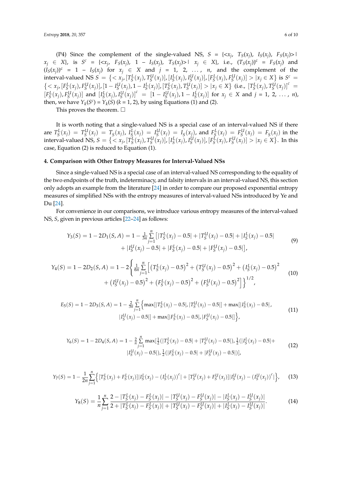(P4) Since the complement of the single-valued NS,  $S = \{ \langle x_j, T_S(x_j), I_S(x_j), F_S(x_j) \rangle \}$  $x_j \in X$ , is  $S^c = \{ \langle x_j, F_S(x_j), 1 - I_S(x_j), T_S(x_j) \rangle \mid x_j \in X \}$ , i.e.,  $(T_S(x_j))^c = F_S(x_j)$  and  $(I_S(x_j))^c = 1 - I_S(x_j)$  for  $x_j \in X$  and  $j = 1, 2, ..., n$ , and the complement of the interval-valued NS  $S = \{ \langle x_j, [T_S^L(x_j), T_S^U(x_j)], [I_S^L(x_j), I_S^U(x_j)], [F_S^L(x_j), F_S^U(x_j)] > |x_j \in X \}$  is  $S^c =$  $\{ \langle x_j, [F_S^L(x_j), F_S^U(x_j)], [1 - I_S^U(x_j), 1 - I_S^L(x_j)], [T_S^L(x_j), T_S^U(x_j)] > |x_j \in X \}$  (i.e.,  $[T_S^L(x_j), T_S^U(x_j)]^c =$  $[F_S^L(x_j), F_S^U(x_j)]$  and  $[I_S^L(x_j), I_S^U(x_j)]^c = [1 - I_S^U(x_j), 1 - I_S^L(x_j)]$  for  $x_j \in X$  and  $j = 1, 2, ..., n$ , then, we have  $Y_k(S^c) = Y_k(S)$  ( $k = 1, 2$ ), by using Equations (1) and (2).

This proves the theorem.  $\square$ 

It is worth noting that a single-valued NS is a special case of an interval-valued NS if there are  $T_S^L(x_j) = T_S^U(x_j) = T_S(x_j)$ ,  $I_S^L(x_j) = I_S^U(x_j) = I_S(x_j)$ , and  $F_S^L(x_j) = F_S^U(x_j) = F_S(x_j)$  in the interval-valued NS,  $S = \{ \langle x_j, [T_S^L(x_j), T_S^U(x_j)], [I_S^L(x_j), I_S^U(x_j)], [F_S^L(x_j), F_S^U(x_j)] > |x_j \in X \}$ . In this case, Equation (2) is reduced to Equation (1).

#### <span id="page-5-0"></span>**4. Comparison with Other Entropy Measures for Interval-Valued NSs**

Since a single-valued NS is a special case of an interval-valued NS corresponding to the equality of the two endpoints of the truth, indeterminacy, and falsity intervals in an interval-valued NS, this section only adopts an example from the literature [\[24\]](#page-9-5) in order to compare our proposed exponential entropy measures of simplified NSs with the entropy measures of interval-valued NSs introduced by Ye and Du [\[24\]](#page-9-5).

For convenience in our comparisons, we introduce various entropy measures of the interval-valued NS, *S*, given in previous articles [\[22](#page-9-3)[–24\]](#page-9-5) as follows:

$$
Y_3(S) = 1 - 2D_1(S, A) = 1 - \frac{1}{3n} \sum_{j=1}^n \left[ |T_S^L(x_j) - 0.5| + |T_S^U(x_j) - 0.5| + |I_S^L(x_j) - 0.5| + |I_S^U(x_j) - 0.5| + |I_S^U(x_j) - 0.5| + |F_S^U(x_j) - 0.5| \right],
$$
\n(9)

$$
Y_4(S) = 1 - 2D_2(S, A) = 1 - 2\left\{\frac{1}{6n} \sum_{j=1}^n \left[ \left(T_S^L(x_j) - 0.5\right)^2 + \left(T_S^U(x_j) - 0.5\right)^2 + \left(I_S^L(x_j) - 0.5\right)^2 + \left(I_S^U(x_j) - 0.5\right)^2 + \left(I_S^U(x_j) - 0.5\right)^2 + \left(F_S^U(x_j) - 0.5\right)^2 + \left(F_S^U(x_j) - 0.5\right)^2\right]\right\}^{1/2},
$$
\n(10)

$$
E_5(S) = 1 - 2D_3(S, A) = 1 - \frac{2}{3\pi} \sum_{j=1}^{n} \left\{ \max[|T_S^L(x_j) - 0.5|, |T_S^U(x_j) - 0.5|] + \max[|I_S^L(x_j) - 0.5|, |I_S^U(x_j) - 0.5|] \right\},\tag{11}
$$
\n
$$
|I_S^U(x_j) - 0.5| + \max[|F_S^L(x_j) - 0.5|, |F_S^U(x_j) - 0.5|] \right\},\tag{11}
$$

$$
Y_6(S) = 1 - 2D_4(S, A) = 1 - \frac{2}{n} \sum_{j=1}^{n} \max[\frac{1}{2}(|T_S^L(x_j) - 0.5| + |T_S^U(x_j) - 0.5|), \frac{1}{2}(|T_S^L(x_j) - 0.5| + |T_S^U(x_j) - 0.5|)]
$$
  
\n
$$
|I_S^U(x_j) - 0.5|), \frac{1}{2}(|F_S^L(x_j) - 0.5| + |F_S^U(x_j) - 0.5|)],
$$
\n(12)

$$
Y_7(S) = 1 - \frac{1}{2n} \sum_{j=1}^n \left\{ [T_S^L(x_j) + F_S^L(x_j)] | I_S^L(x_j) - (I_S^L(x_j))^c | + [T_S^U(x_j) + F_S^U(x_j)] | I_S^U(x_j) - (I_S^U(x_j))^c | \right\},
$$
(13)

$$
Y_8(S) = \frac{1}{n} \sum_{j=1}^n \frac{2 - |T_S^L(x_j) - F_S^L(x_j)| - |T_S^U(x_j) - F_S^L(x_j)| - |I_S^L(x_j) - I_S^U(x_j)|}{2 + |T_S^L(x_j) - F_S^L(x_j)| + |T_S^L(x_j) - F_S^L(x_j)| + |I_S^L(x_j) - I_S^U(x_j)|}.
$$
(14)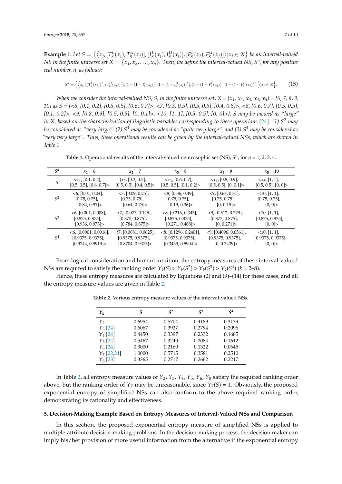**Example 1.** Let  $S = \{ \langle x_j, [T_S^L(x_j), T_S^U(x_j)], [I_S^L(x_j), I_S^U(x_j)], [F_S^L(x_j), F_S^U(x_j)] \rangle | x_j \in X \}$  be an interval-valued *NS in the finite universe set*  $X = \{x_1, x_2, \ldots, x_n\}$ . Then, we define the interval-valued NS, S<sup>n</sup>, for any positive *real number, n, as follows:*

$$
S^n = \left\{ \left\langle x_{j}, \left[ \left( T_S^L(x_j) \right)^n, \left( T_S^U(x_j) \right)^n \right], \left[ 1 - \left( 1 - I_S^L(x_j) \right)^n, 1 - \left( 1 - I_S^U(x_j) \right)^n \right], \left[ 1 - \left( 1 - F_S^L(x_j) \right)^n, 1 - \left( 1 - F_S^U(x_j) \right)^n \right] \right\rangle | x_j \in X \right\}.
$$
 (15)

*When we consider the interval-valued NS, S, in the finite universe set,*  $X = \{x_1, x_2, x_3, x_4, x_5\} = \{6, 7, 8, 9, 9, 10\}$ *10} as S = {<6, [0.1, 0.2], [0.5, 0.5], [0.6, 0.7]>, <7, [0.3, 0.5], [0.5, 0.5], [0.4, 0.5]>, <8, [0.6, 0.7], [0.5, 0.5], [0.1, 0.2]>, <9, [0.8, 0.9], [0.5, 0.5], [0, 0.1]>, <10, [1, 1], [0.5, 0.5], [0, 0]>}, S may be viewed as "large" in X, based on the characterization of linguistic variables corresponding to these operations* [\[24\]](#page-9-5)*: (1) S<sup>2</sup> may be considered as "very large"; (2) S<sup>3</sup> may be considered as "quite very large"; and (3) S<sup>4</sup> may be considered as "very very large". Thus, these operational results can be given by the interval-valued NSs, which are shown in Table [1](#page-6-1)*.

**Table 1.** Operational results of the interval-valued neutrosophic set (NS),  $S<sup>n</sup>$ , for  $n = 1, 2, 3, 4$ .

<span id="page-6-1"></span>

| $S^n$          | $x_1 = 6$                   | $x_2 = 7$                              | $x_3 = 8$                            | $x_4 = 9$                              | $x_5 = 10$                |
|----------------|-----------------------------|----------------------------------------|--------------------------------------|----------------------------------------|---------------------------|
| S              | $\langle x_1, [0.1, 0.2],$  | $\{x_2, [0.3, 0.5],\}$                 | $\langle x_3, [0.6, 0.7],$           | $\langle x_4,[0.8, 0.9],$              | $\langle x_5, [1,1],$     |
|                | $[0.5, 0.5]$ , $[0.6, 0.7]$ | $[0.5, 0.5]$ , $[0.4, 0.5]$            | $[0.5, 0.5]$ , $[0.1, 0.2]$          | $[0.5, 0.5]$ , $[0, 0.1]$ >            | $[0.5, 0.5]$ , $[0, 0]$ > |
| $S^2$          | $<$ 6, [0.01, 0.04],        | $<$ 7, [0.09, 0.25],                   | $<8$ , [0.36, 0.49],                 | $\langle 9, [0.64, 0.81],$             | <10, [1, 1]               |
|                | [0.75, 0.75]                | [0.75, 0.75]                           | [0.75, 0.75]                         | $[0.75, 0.75]$ ,                       | [0.75, 0.75]              |
|                | [0.84, 0.91]                | [0.64, 0.75]                           | [0.19, 0.36]                         | [0, 0.19]                              | [0, 0]                    |
| $S^3$          | $<$ 6, [0.001, 0.008],      | $<$ 7, $[0.027, 0.125]$ ,              | $\langle 8, [0.216, 0.343], \rangle$ | $\langle 9, [0.512, 0.729],$           | <10, [1, 1]               |
|                | [0.875, 0.875]              | $[0.875, 0.875]$ ,                     | [0.875, 0.875]                       | [0.875, 0.875]                         | $[0.875, 0.875]$ ,        |
|                | [0.936, 0.973]              | [0.784, 0.875]                         | [0.271, 0.488]                       | [0, 0.271]                             | [0, 0]                    |
| S <sup>4</sup> | $<$ 6, [0.0001, 0.0016],    | $\langle 7, [0.0081, 0.0625], \rangle$ | $<$ 8, [0.1296, 0.2401],             | $\langle 9, [0.4096, 0.6561], \rangle$ | <10, [1, 1]               |
|                | [0.9375, 0.9375]            | [0.9375, 0.9375]                       | [0.9375, 0.9375]                     | [0.9375, 0.9375]                       | [0.9375, 0.9375]          |
|                | [0.9744, 0.9919]            | [0.8704, 0.9375]                       | [0.3439, 0.5904]                     | [0, 0.3439]                            | [0, 0]                    |

From logical consideration and human intuition, the entropy measures of these interval-valued NSs are required to satisfy the ranking order  $Y_k(S) > Y_k(S^2) > Y_k(S^3) > Y_k(S^4)$  ( $k = 2-8$ ).

<span id="page-6-2"></span>Hence, these entropy measures are calculated by Equations (2) and (9)–(14) for these cases, and all the entropy measure values are given in Table [2.](#page-6-2)

| $Y_k$          | S      | $\mathcal{S}^2$ | $\mathcal{S}^3$ | $\varsigma^4$ |
|----------------|--------|-----------------|-----------------|---------------|
| Y <sub>2</sub> | 0.6954 | 0.5704          | 0.4189          | 0.3139        |
| $Y_3$ [24]     | 0.6067 | 0.3927          | 0.2794          | 0.2096        |
| $Y_4$ [24]     | 0.4450 | 0.3397          | 0.2332          | 0.1685        |
| $Y_5$ [24]     | 0.5467 | 0.3240          | 0.2084          | 0.1612        |
| $Y_6$ [24]     | 0.3000 | 0.2160          | 0.1322          | 0.0645        |
| $Y_7$ [22,24]  | 1.0000 | 0.5715          | 0.3581          | 0.2510        |
| $Y_8$ [23]     | 0.3365 | 0.2717          | 0.2662          | 0.2217        |

**Table 2.** Various entropy measure values of the interval-valued NSs.

In Table [2,](#page-6-2) all entropy measure values of *Y*2, *Y*3, *Y*4, *Y*5, *Y*6, *Y*<sup>8</sup> satisfy the required ranking order above, but the ranking order of  $Y_7$  may be unreasonable, since  $Y_7(S) = 1$ . Obviously, the proposed exponential entropy of simplified NSs can also conform to the above required ranking order, demonstrating its rationality and effectiveness.

## <span id="page-6-0"></span>**5. Decision-Making Example Based on Entropy Measures of Interval-Valued NSs and Comparison**

In this section, the proposed exponential entropy measure of simplified NSs is applied to multiple-attribute decision-making problems. In the decision-making process, the decision maker can imply his/her provision of more useful information from the alternative if the exponential entropy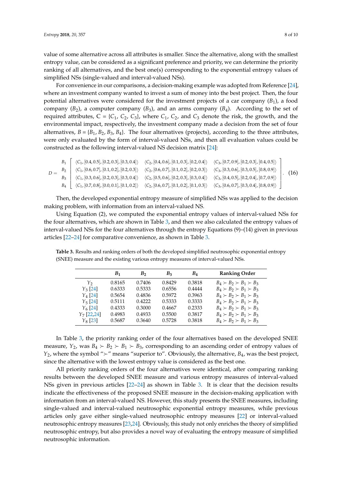value of some alternative across all attributes is smaller. Since the alternative, along with the smallest entropy value, can be considered as a significant preference and priority, we can determine the priority ranking of all alternatives, and the best one(s) corresponding to the exponential entropy values of simplified NSs (single-valued and interval-valued NSs).

For convenience in our comparisons, a decision-making example was adopted from Reference [\[24\]](#page-9-5), where an investment company wanted to invest a sum of money into the best project. Then, the four potential alternatives were considered for the investment projects of a car company  $(B_1)$ , a food company  $(B_2)$ , a computer company  $(B_3)$ , and an arms company  $(B_4)$ . According to the set of required attributes,  $C = \{C_1, C_2, C_3\}$ , where  $C_1$ ,  $C_2$ , and  $C_3$  denote the risk, the growth, and the environmental impact, respectively, the investment company made a decision from the set of four alternatives,  $B = \{B_1, B_2, B_3, B_4\}$ . The four alternatives (projects), according to the three attributes, were only evaluated by the form of interval-valued NSs, and then all evaluation values could be constructed as the following interval-valued NS decision matrix [\[24\]](#page-9-5):

$$
D = \begin{bmatrix} & \langle C_{1}, [0.4, 0.5], [0.2, 0.3], [0.3, 0.4] \rangle & \langle C_{2}, [0.4, 0.6], [0.1, 0.3], [0.2, 0.4] \rangle & \langle C_{3}, [0.7, 0.9], [0.2, 0.3], [0.4, 0.5] \rangle \\ & \langle C_{1}, [0.6, 0.7], [0.1, 0.2], [0.2, 0.3] \rangle & \langle C_{2}, [0.6, 0.7], [0.1, 0.2], [0.2, 0.3] \rangle & \langle C_{3}, [0.3, 0.6], [0.3, 0.5], [0.8, 0.9] \rangle \\ & \langle C_{1}, [0.3, 0.6], [0.2, 0.3], [0.3, 0.4] \rangle & \langle C_{2}, [0.5, 0.6], [0.2, 0.3], [0.3, 0.4] \rangle & \langle C_{3}, [0.4, 0.5], [0.2, 0.4], [0.7, 0.9] \rangle \\ & \langle C_{1}, [0.7, 0.8], [0.0, 0.1], [0.1, 0.2] \rangle & \langle C_{2}, [0.6, 0.7], [0.1, 0.2], [0.1, 0.3] \rangle & \langle C_{3}, [0.6, 0.7], [0.3, 0.4], [0.8, 0.9] \rangle \end{bmatrix}.
$$
 (16)

Then, the developed exponential entropy measure of simplified NSs was applied to the decision making problem, with information from an interval-valued NS.

Using Equation (2), we computed the exponential entropy values of interval-valued NSs for the four alternatives, which are shown in Table [3,](#page-7-0) and then we also calculated the entropy values of interval-valued NSs for the four alternatives through the entropy Equations (9)–(14) given in previous articles [\[22–](#page-9-3)[24\]](#page-9-5) for comparative convenience, as shown in Table [3.](#page-7-0)

|               | B <sub>1</sub> | B <sub>2</sub> | $B_3$  | $B_4$  | <b>Ranking Order</b>                |
|---------------|----------------|----------------|--------|--------|-------------------------------------|
| Y,            | 0.8165         | 0.7406         | 0.8429 | 0.3818 | $B_4 \succ B_2 \succ B_1 \succ B_3$ |
| $Y_3$ [24]    | 0.6333         | 0.5333         | 0.6556 | 0.4444 | $B_4 \succ B_2 \succ B_1 \succ B_3$ |
| $Y_4$ [24]    | 0.5654         | 0.4836         | 0.5972 | 0.3963 | $B_4 \succ B_2 \succ B_1 \succ B_3$ |
| $Y_5$ [24]    | 0.5111         | 0.4222         | 0.5333 | 0.3333 | $B_4 \succ B_2 \succ B_1 \succ B_3$ |
| $Y_6$ [24]    | 0.4333         | 0.3000         | 0.4667 | 0.2333 | $B_4 \succ B_2 \succ B_1 \succ B_3$ |
| $Y_7$ [22,24] | 0.4983         | 0.4933         | 0.5500 | 0.3817 | $B_4 \succ B_2 \succ B_1 \succ B_3$ |
| $Y_8$ [23]    | 0.5687         | 0.3640         | 0.5728 | 0.3818 | $B_4 \succ B_2 \succ B_1 \succ B_3$ |

<span id="page-7-0"></span>**Table 3.** Results and ranking orders of both the developed simplified neutrosophic exponential entropy (SNEE) measure and the existing various entropy measures of interval-valued NSs.

In Table [3,](#page-7-0) the priority ranking order of the four alternatives based on the developed SNEE measure,  $Y_2$ , was  $B_4 \succ B_2 \succ B_1 \succ B_3$ , corresponding to an ascending order of entropy values of *Y*<sub>2</sub>, where the symbol " $\succ$ " means "superior to". Obviously, the alternative, *B*<sub>4</sub>, was the best project, since the alternative with the lowest entropy value is considered as the best one.

All priority ranking orders of the four alternatives were identical, after comparing ranking results between the developed SNEE measure and various entropy measures of interval-valued NSs given in previous articles [\[22–](#page-9-3)[24\]](#page-9-5) as shown in Table [3.](#page-7-0) It is clear that the decision results indicate the effectiveness of the proposed SNEE measure in the decision-making application with information from an interval-valued NS. However, this study presents the SNEE measures, including single-valued and interval-valued neutrosophic exponential entropy measures, while previous articles only gave either single-valued neutrosophic entropy measures [\[22\]](#page-9-3) or interval-valued neutrosophic entropy measures [\[23,](#page-9-4)[24\]](#page-9-5). Obviously, this study not only enriches the theory of simplified neutrosophic entropy, but also provides a novel way of evaluating the entropy measure of simplified neutrosophic information.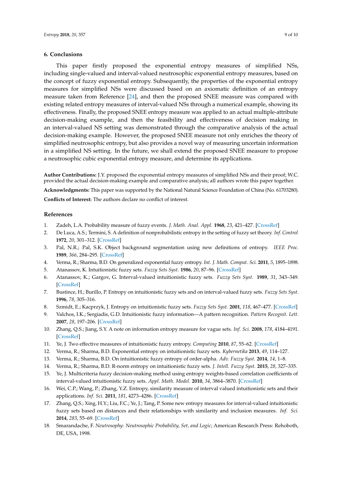## <span id="page-8-18"></span>**6. Conclusions**

This paper firstly proposed the exponential entropy measures of simplified NSs, including single-valued and interval-valued neutrosophic exponential entropy measures, based on the concept of fuzzy exponential entropy. Subsequently, the properties of the exponential entropy measures for simplified NSs were discussed based on an axiomatic definition of an entropy measure taken from Reference [\[24\]](#page-9-5), and then the proposed SNEE measure was compared with existing related entropy measures of interval-valued NSs through a numerical example, showing its effectiveness. Finally, the proposed SNEE entropy measure was applied to an actual multiple-attribute decision-making example, and then the feasibility and effectiveness of decision making in an interval-valued NS setting was demonstrated through the comparative analysis of the actual decision-making example. However, the proposed SNEE measure not only enriches the theory of simplified neutrosophic entropy, but also provides a novel way of measuring uncertain information in a simplified NS setting. In the future, we shall extend the proposed SNEE measure to propose a neutrosophic cubic exponential entropy measure, and determine its applications.

**Author Contributions:** J.Y. proposed the exponential entropy measures of simplified NSs and their proof; W.C. provided the actual decision-making example and comparative analysis; all authors wrote this paper together.

**Acknowledgments:** This paper was supported by the National Natural Science Foundation of China (No. 61703280).

**Conflicts of Interest:** The authors declare no conflict of interest.

## **References**

- <span id="page-8-0"></span>1. Zadeh, L.A. Probability measure of fuzzy events. *J. Math. Anal. Appl.* **1968**, *23*, 421–427. [\[CrossRef\]](http://dx.doi.org/10.1016/0022-247X(68)90078-4)
- <span id="page-8-1"></span>2. De Luca, A.S.; Termini, S. A definition of nonprobabilistic entropy in the setting of fuzzy set theory. *Inf. Control* **1972**, *20*, 301–312. [\[CrossRef\]](http://dx.doi.org/10.1016/S0019-9958(72)90199-4)
- <span id="page-8-2"></span>3. Pal, N.R.; Pal, S.K. Object background segmentation using new definitions of entropy. *IEEE Proc.* **1989**, *366*, 284–295. [\[CrossRef\]](http://dx.doi.org/10.1049/ip-e.1989.0039)
- <span id="page-8-3"></span>4. Verma, R.; Sharma, B.D. On generalized exponential fuzzy entropy. *Int. J. Math. Comput. Sci.* **2011**, *5*, 1895–1898.
- <span id="page-8-4"></span>5. Atanassov, K. Intuitionistic fuzzy sets. *Fuzzy Sets Syst.* **1986**, *20*, 87–96. [\[CrossRef\]](http://dx.doi.org/10.1016/S0165-0114(86)80034-3)
- <span id="page-8-5"></span>6. Atanassov, K.; Gargov, G. Interval-valued intuitionistic fuzzy sets. *Fuzzy Sets Syst.* **1989**, *31*, 343–349. [\[CrossRef\]](http://dx.doi.org/10.1016/0165-0114(89)90205-4)
- <span id="page-8-6"></span>7. Bustince, H.; Burillo, P. Entropy on intuitionistic fuzzy sets and on interval-valued fuzzy sets. *Fuzzy Sets Syst.* **1996**, *78*, 305–316.
- <span id="page-8-7"></span>8. Szmidt, E.; Kacprzyk, J. Entropy on intuitionistic fuzzy sets. *Fuzzy Sets Syst.* **2001**, *118*, 467–477. [\[CrossRef\]](http://dx.doi.org/10.1016/S0165-0114(98)00402-3)
- <span id="page-8-8"></span>9. Valchos, I.K.; Sergiadis, G.D. Intuitionistic fuzzy information—A pattern recognition. *Pattern Recognit. Lett.* **2007**, *28*, 197–206. [\[CrossRef\]](http://dx.doi.org/10.1016/j.patrec.2006.07.004)
- <span id="page-8-9"></span>10. Zhang, Q.S.; Jiang, S.Y. A note on information entropy measure for vague sets. *Inf. Sci.* **2008**, *178*, 4184–4191. [\[CrossRef\]](http://dx.doi.org/10.1016/j.ins.2008.07.003)
- <span id="page-8-10"></span>11. Ye, J. Two effective measures of intuitionistic fuzzy entropy. *Computing* **2010**, *87*, 55–62. [\[CrossRef\]](http://dx.doi.org/10.1007/s00607-009-0075-2)
- <span id="page-8-11"></span>12. Verma, R.; Sharma, B.D. Exponential entropy on intuitionistic fuzzy sets. *Kybernetika* **2013**, *49*, 114–127.
- <span id="page-8-12"></span>13. Verma, R.; Sharma, B.D. On intuitionistic fuzzy entropy of order-alpha. *Adv. Fuzzy Syst.* **2014**, *14*, 1–8.
- <span id="page-8-13"></span>14. Verma, R.; Sharma, B.D. R-norm entropy on intuitionistic fuzzy sets. *J. Intell. Fuzzy Syst.* **2015**, *28*, 327–335.
- <span id="page-8-14"></span>15. Ye, J. Multicriteria fuzzy decision-making method using entropy weights-based correlation coefficients of interval-valued intuitionistic fuzzy sets. *Appl. Math. Model.* **2010**, *34*, 3864–3870. [\[CrossRef\]](http://dx.doi.org/10.1016/j.apm.2010.03.025)
- <span id="page-8-15"></span>16. Wei, C.P.; Wang, P.; Zhang, Y.Z. Entropy, similarity measure of interval valued intuitionistic sets and their applications. *Inf. Sci.* **2011**, *181*, 4273–4286. [\[CrossRef\]](http://dx.doi.org/10.1016/j.ins.2011.06.001)
- <span id="page-8-16"></span>17. Zhang, Q.S.; Xing, H.Y.; Liu, F.C.; Ye, J.; Tang, P. Some new entropy measures for interval-valued intuitionistic fuzzy sets based on distances and their relationships with similarity and inclusion measures. *Inf. Sci.* **2014**, *283*, 55–69. [\[CrossRef\]](http://dx.doi.org/10.1016/j.ins.2014.06.012)
- <span id="page-8-17"></span>18. Smarandache, F. *Neutrosophy: Neutrosophic Probability, Set, and Logic*; American Research Press: Rehoboth, DE, USA, 1998.